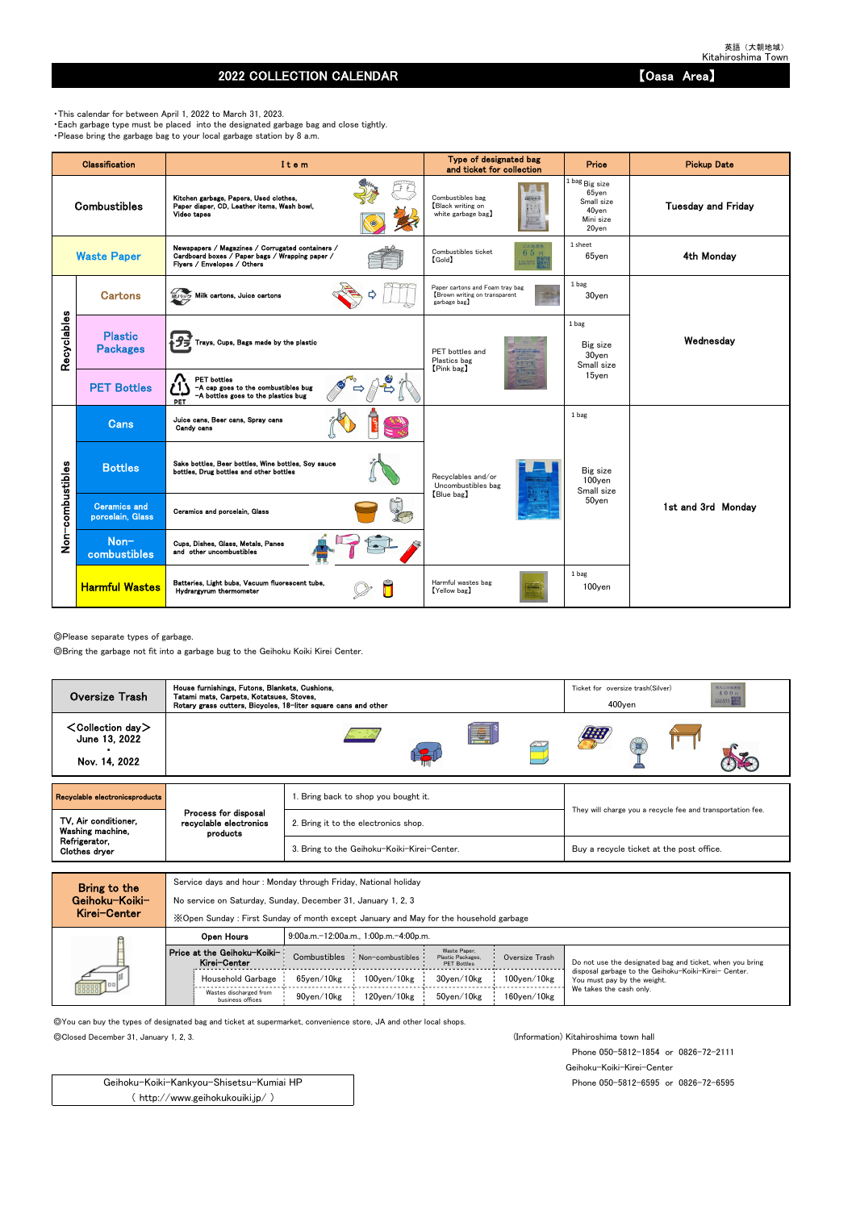## 2022 COLLECTION CALENDAR **COLLECTION** CALENDAR

◎Please separate types of garbage.

◎Bring the garbage not fit into a garbage bug to the Geihoku Koiki Kirei Center.

Service days and hour : Monday through Friday, National holiday

No service on Saturday, Sunday, December 31, January 1, 2, 3

◎You can buy the types of designated bag and ticket at supermarket, convenience store, JA and other local shops.

◎Closed December 31, January 1, 2, 3. (Information) Kitahiroshima town hall

Phone 050-5812-1854 or 0826-72-2111

Geihoku-Koiki-Kirei-Center

Phone 050-5812-6595 or 0826-72-6595

・This calendar for between April 1, 2022 to March 31, 2023. ・Each garbage type must be placed into the designated garbage bag and close tightly. ・Please bring the garbage bag to your local garbage station by 8 a.m.

|                  | <b>Classification</b>                   | Item                                                                                                                               | Type of designated bag<br>and ticket for collection                             | Price                                                                               | <b>Pickup Date</b>        |
|------------------|-----------------------------------------|------------------------------------------------------------------------------------------------------------------------------------|---------------------------------------------------------------------------------|-------------------------------------------------------------------------------------|---------------------------|
|                  | <b>Combustibles</b>                     | Kitchen garbage, Papers, Used clothes,<br>Paper diaper, CD, Leather items, Wash bowl,<br>Video tapes                               | Combustibles bag<br>2個えるごみ(の)<br>Black writing on<br>white garbage bag)         | $1$ bag $_{\rm Big\ size}$<br>65yen<br>Small size<br>40yen<br>Mini size<br>$20$ yen | <b>Tuesday and Friday</b> |
|                  | <b>Waste Paper</b>                      | Newspapers / Magazines / Corrugated containers /<br>Cardboard boxes / Paper bags / Wrapping paper /<br>Flyers / Envelopes / Others | ごみ処理券<br>Combustibles ticket<br>65円<br>$[\text{Gold}]$<br>主出地界装                 | 1 sheet<br>65yen                                                                    | 4th Monday                |
|                  | <b>Cartons</b>                          | <b>細パック Milk cartons, Juice cartons</b>                                                                                            | Paper cartons and Foam tray bag<br>Brown writing on transparent<br>garbage bag】 | 1 bag<br>30yen                                                                      |                           |
| Recyclables      | <b>Plastic</b><br><b>Packages</b>       | <mark>春プヺ</mark> Trays, Cups, Bags made by the plastic                                                                             | PET bottles and<br>Plastics bag<br>[Pink bag]                                   | 1 bag<br>Big size<br>30yen<br>Small size                                            | Wednesday                 |
|                  | <b>PET Bottles</b>                      | <b>PET</b> bottles<br>-A cap goes to the combustibles bug<br>-A bottles goes to the plastics bug<br>PET                            |                                                                                 | 15yen                                                                               |                           |
|                  | <b>Cans</b>                             | Juice cans, Beer cans, Spray cans<br>Candy cans                                                                                    |                                                                                 | 1 bag                                                                               |                           |
|                  | <b>Bottles</b>                          | Sake bottles, Beer bottles, Wine bottles, Soy sauce<br>bottles, Drug bottles and other bottles                                     | Recyclables and/or<br>Uncombustibles bag                                        | Big size<br>100yen<br>Small size                                                    |                           |
| Non-combustibles | <b>Ceramics and</b><br>porcelain, Glass | Ceramics and porcelain, Glass                                                                                                      | [Blue bag]                                                                      | 50yen                                                                               | 1st and 3rd Monday        |
|                  | Non-<br>combustibles                    | Cups, Dishes, Glass, Metals, Panes<br>and other uncombustibles                                                                     |                                                                                 |                                                                                     |                           |
|                  | <b>Harmful Wastes</b>                   | Batteries, Light bubs, Vacuum fluorescent tube,<br>Hydrargyrum thermometer                                                         | Harmful wastes bag<br>[Yellow bag]                                              | 1 bag<br>100yen                                                                     |                           |

| MIGI VEILEI |                                             | X Open Sunday: First Sunday of month except January and May for the household garbage |                                       |                                                         |                    |                                                                                     |
|-------------|---------------------------------------------|---------------------------------------------------------------------------------------|---------------------------------------|---------------------------------------------------------|--------------------|-------------------------------------------------------------------------------------|
|             | Open Hours                                  |                                                                                       | 9:00a.m.-12:00a.m., 1:00p.m.-4:00p.m. |                                                         |                    |                                                                                     |
|             | Price at the Geihoku-Koiki-<br>Kirei-Center | Combustibles                                                                          | Non-combustibles                      | Waste Paper.<br>Plastic Packages,<br><b>PET Bottles</b> | Oversize Trash     | Do not use the designated bag and ticket, when you bring                            |
| 000000      | Household Garbage                           | 65ven/10kg                                                                            | $100$ ven $/10$ kg                    | 30ven/10kg                                              | $100$ yen $/10$ kg | disposal garbage to the Geihoku-Koiki-Kirei- Center.<br>You must pay by the weight. |
|             | Wastes discharged from<br>business offices  | 90ven/10kg                                                                            | 120ven/10kg                           | 50ven/10kg                                              | $160$ ven $/10$ kg | We takes the cash only.                                                             |

Geihoku-Koiki-Kankyou-Shisetsu-Kumiai HP ( http://www.geihokukouiki.jp/ )

| <b>Oversize Trash</b>                                                | House furnishings, Futons, Blankets, Cushions,<br>Tatami mats, Carpets, Kotatsues, Stoves,<br>Rotary grass cutters, Bicycles, 18-liter square cans and other |                                             | 粗大ごみ処理器<br>Ticket for oversize trash (Silver)<br>400円<br><b>FARMING BERTH</b><br>$400$ ven |
|----------------------------------------------------------------------|--------------------------------------------------------------------------------------------------------------------------------------------------------------|---------------------------------------------|--------------------------------------------------------------------------------------------|
| $\langle$ Collection day $\rangle$<br>June 13, 2022<br>Nov. 14, 2022 |                                                                                                                                                              | E.                                          |                                                                                            |
| Recyclable electronicsproducts                                       |                                                                                                                                                              | . Bring back to shop you bought it.         |                                                                                            |
| TV, Air conditioner,<br>Washing machine,                             | Process for disposal<br>recyclable electronics<br>products                                                                                                   | 2. Bring it to the electronics shop.        | They will charge you a recycle fee and transportation fee.                                 |
| Refrigerator,<br>Clothes dryer                                       |                                                                                                                                                              | 3. Bring to the Geihoku-Koiki-Kirei-Center. | Buy a recycle ticket at the post office.                                                   |
|                                                                      |                                                                                                                                                              |                                             |                                                                                            |

| Bring to the   |
|----------------|
| Geihoku−Koiki− |
| Kirei-Center   |